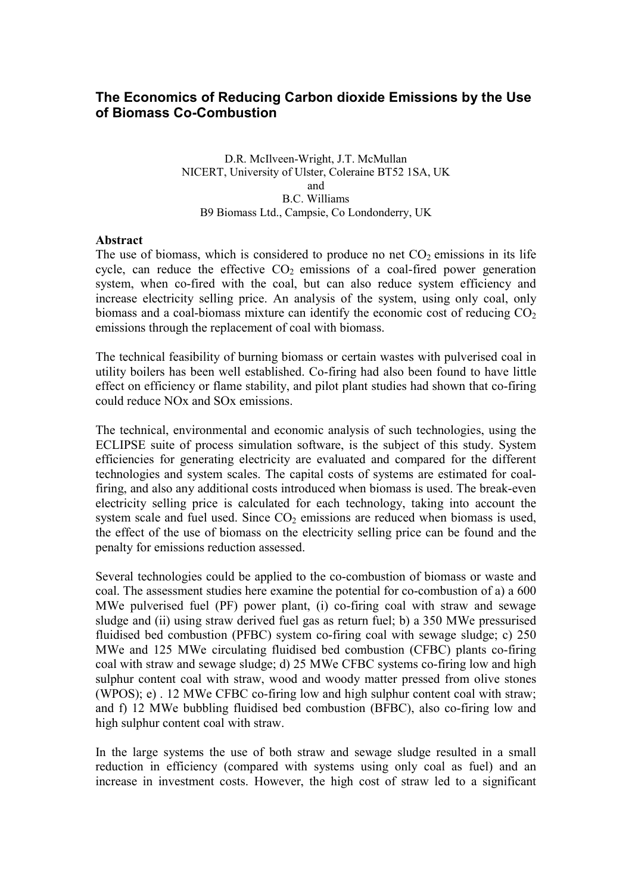# The Economics of Reducing Carbon dioxide Emissions by the Use of Biomass Co-Combustion

#### D.R. McIlveen-Wright, J.T. McMullan NICERT, University of Ulster, Coleraine BT52 1SA, UK and B.C. Williams B9 Biomass Ltd., Campsie, Co Londonderry, UK

#### Abstract

The use of biomass, which is considered to produce no net  $CO<sub>2</sub>$  emissions in its life cycle, can reduce the effective  $CO<sub>2</sub>$  emissions of a coal-fired power generation system, when co-fired with the coal, but can also reduce system efficiency and increase electricity selling price. An analysis of the system, using only coal, only biomass and a coal-biomass mixture can identify the economic cost of reducing  $CO<sub>2</sub>$ emissions through the replacement of coal with biomass.

The technical feasibility of burning biomass or certain wastes with pulverised coal in utility boilers has been well established. Co-firing had also been found to have little effect on efficiency or flame stability, and pilot plant studies had shown that co-firing could reduce NOx and SOx emissions.

The technical, environmental and economic analysis of such technologies, using the ECLIPSE suite of process simulation software, is the subject of this study. System efficiencies for generating electricity are evaluated and compared for the different technologies and system scales. The capital costs of systems are estimated for coalfiring, and also any additional costs introduced when biomass is used. The break-even electricity selling price is calculated for each technology, taking into account the system scale and fuel used. Since  $CO<sub>2</sub>$  emissions are reduced when biomass is used, the effect of the use of biomass on the electricity selling price can be found and the penalty for emissions reduction assessed.

Several technologies could be applied to the co-combustion of biomass or waste and coal. The assessment studies here examine the potential for co-combustion of a) a 600 MWe pulverised fuel (PF) power plant, (i) co-firing coal with straw and sewage sludge and (ii) using straw derived fuel gas as return fuel; b) a 350 MWe pressurised fluidised bed combustion (PFBC) system co-firing coal with sewage sludge; c) 250 MWe and 125 MWe circulating fluidised bed combustion (CFBC) plants co-firing coal with straw and sewage sludge; d) 25 MWe CFBC systems co-firing low and high sulphur content coal with straw, wood and woody matter pressed from olive stones (WPOS); e) . 12 MWe CFBC co-firing low and high sulphur content coal with straw; and f) 12 MWe bubbling fluidised bed combustion (BFBC), also co-firing low and high sulphur content coal with straw.

In the large systems the use of both straw and sewage sludge resulted in a small reduction in efficiency (compared with systems using only coal as fuel) and an increase in investment costs. However, the high cost of straw led to a significant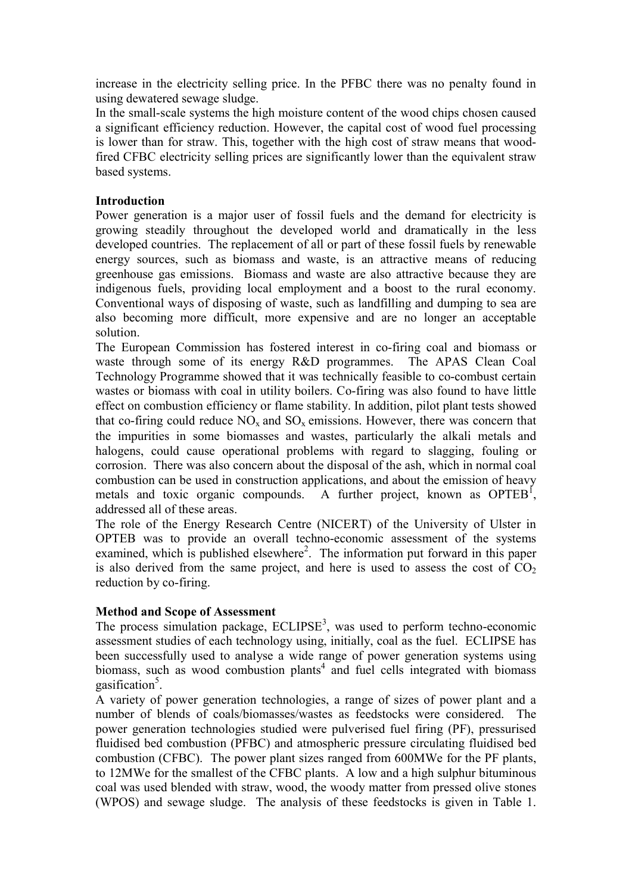increase in the electricity selling price. In the PFBC there was no penalty found in using dewatered sewage sludge.

In the small-scale systems the high moisture content of the wood chips chosen caused a significant efficiency reduction. However, the capital cost of wood fuel processing is lower than for straw. This, together with the high cost of straw means that woodfired CFBC electricity selling prices are significantly lower than the equivalent straw based systems.

## Introduction

Power generation is a major user of fossil fuels and the demand for electricity is growing steadily throughout the developed world and dramatically in the less developed countries. The replacement of all or part of these fossil fuels by renewable energy sources, such as biomass and waste, is an attractive means of reducing greenhouse gas emissions. Biomass and waste are also attractive because they are indigenous fuels, providing local employment and a boost to the rural economy. Conventional ways of disposing of waste, such as landfilling and dumping to sea are also becoming more difficult, more expensive and are no longer an acceptable solution.

The European Commission has fostered interest in co-firing coal and biomass or waste through some of its energy R&D programmes. The APAS Clean Coal Technology Programme showed that it was technically feasible to co-combust certain wastes or biomass with coal in utility boilers. Co-firing was also found to have little effect on combustion efficiency or flame stability. In addition, pilot plant tests showed that co-firing could reduce  $NO_x$  and  $SO_x$  emissions. However, there was concern that the impurities in some biomasses and wastes, particularly the alkali metals and halogens, could cause operational problems with regard to slagging, fouling or corrosion. There was also concern about the disposal of the ash, which in normal coal combustion can be used in construction applications, and about the emission of heavy metals and toxic organic compounds. A further project, known as  $OPTEB<sup>1</sup>$ , addressed all of these areas.

The role of the Energy Research Centre (NICERT) of the University of Ulster in OPTEB was to provide an overall techno-economic assessment of the systems examined, which is published elsewhere<sup>2</sup>. The information put forward in this paper is also derived from the same project, and here is used to assess the cost of  $CO<sub>2</sub>$ reduction by co-firing.

# Method and Scope of Assessment

The process simulation package,  $ECLIPSE<sup>3</sup>$ , was used to perform techno-economic assessment studies of each technology using, initially, coal as the fuel. ECLIPSE has been successfully used to analyse a wide range of power generation systems using biomass, such as wood combustion plants<sup>4</sup> and fuel cells integrated with biomass gasification<sup>5</sup>.

A variety of power generation technologies, a range of sizes of power plant and a number of blends of coals/biomasses/wastes as feedstocks were considered. The power generation technologies studied were pulverised fuel firing (PF), pressurised fluidised bed combustion (PFBC) and atmospheric pressure circulating fluidised bed combustion (CFBC). The power plant sizes ranged from 600MWe for the PF plants, to 12MWe for the smallest of the CFBC plants. A low and a high sulphur bituminous coal was used blended with straw, wood, the woody matter from pressed olive stones (WPOS) and sewage sludge. The analysis of these feedstocks is given in Table 1.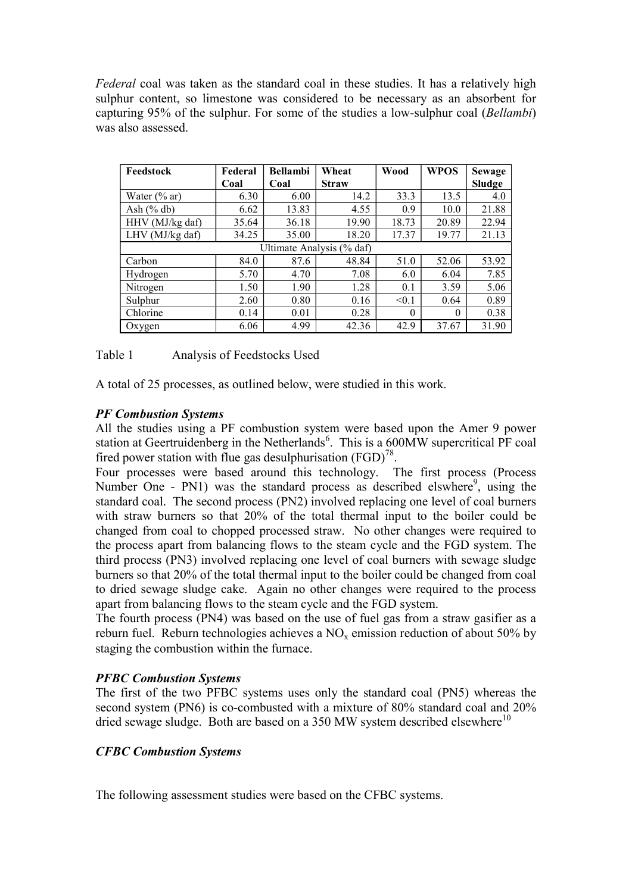Federal coal was taken as the standard coal in these studies. It has a relatively high sulphur content, so limestone was considered to be necessary as an absorbent for capturing 95% of the sulphur. For some of the studies a low-sulphur coal (Bellambi) was also assessed.

| Feedstock       | Federal                   | <b>Bellambi</b> | Wheat        | Wood     | <b>WPOS</b> | <b>Sewage</b> |  |  |  |
|-----------------|---------------------------|-----------------|--------------|----------|-------------|---------------|--|--|--|
|                 | Coal                      | Coal            | <b>Straw</b> |          |             | Sludge        |  |  |  |
| Water $(\%$ ar) | 6.30                      | 6.00            | 14.2         | 33.3     | 13.5        | 4.0           |  |  |  |
| Ash $(\%$ db)   | 6.62                      | 13.83           | 4.55         | 0.9      | 10.0        | 21.88         |  |  |  |
| HHV (MJ/kg daf) | 35.64                     | 36.18           | 19.90        | 18.73    | 20.89       | 22.94         |  |  |  |
| LHV (MJ/kg daf) | 34.25                     | 35.00           | 18.20        | 17.37    | 19.77       | 21.13         |  |  |  |
|                 | Ultimate Analysis (% daf) |                 |              |          |             |               |  |  |  |
| Carbon          | 84.0                      | 87.6            | 48.84        | 51.0     | 52.06       | 53.92         |  |  |  |
| Hydrogen        | 5.70                      | 4.70            | 7.08         | 6.0      | 6.04        | 7.85          |  |  |  |
| Nitrogen        | 1.50                      | 1.90            | 1.28         | 0.1      | 3.59        | 5.06          |  |  |  |
| Sulphur         | 2.60                      | 0.80            | 0.16         | < 0.1    | 0.64        | 0.89          |  |  |  |
| Chlorine        | 0.14                      | 0.01            | 0.28         | $\theta$ | $\theta$    | 0.38          |  |  |  |
| Oxygen          | 6.06                      | 4.99            | 42.36        | 42.9     | 37.67       | 31.90         |  |  |  |

| Table 1 | Analysis of Feedstocks Used |
|---------|-----------------------------|
|---------|-----------------------------|

A total of 25 processes, as outlined below, were studied in this work.

### PF Combustion Systems

All the studies using a PF combustion system were based upon the Amer 9 power station at Geertruidenberg in the Netherlands<sup>6</sup>. This is a 600MW supercritical PF coal fired power station with flue gas desulphurisation  $(FGD)^{78}$ .

Four processes were based around this technology. The first process (Process Number One - PN1) was the standard process as described elswhere<sup>9</sup>, using the standard coal. The second process (PN2) involved replacing one level of coal burners with straw burners so that 20% of the total thermal input to the boiler could be changed from coal to chopped processed straw. No other changes were required to the process apart from balancing flows to the steam cycle and the FGD system. The third process (PN3) involved replacing one level of coal burners with sewage sludge burners so that 20% of the total thermal input to the boiler could be changed from coal to dried sewage sludge cake. Again no other changes were required to the process apart from balancing flows to the steam cycle and the FGD system.

The fourth process (PN4) was based on the use of fuel gas from a straw gasifier as a reburn fuel. Reburn technologies achieves a  $NO_x$  emission reduction of about 50% by staging the combustion within the furnace.

### PFBC Combustion Systems

The first of the two PFBC systems uses only the standard coal (PN5) whereas the second system (PN6) is co-combusted with a mixture of 80% standard coal and 20% dried sewage sludge. Both are based on a 350 MW system described elsewhere<sup>10</sup>

### CFBC Combustion Systems

The following assessment studies were based on the CFBC systems.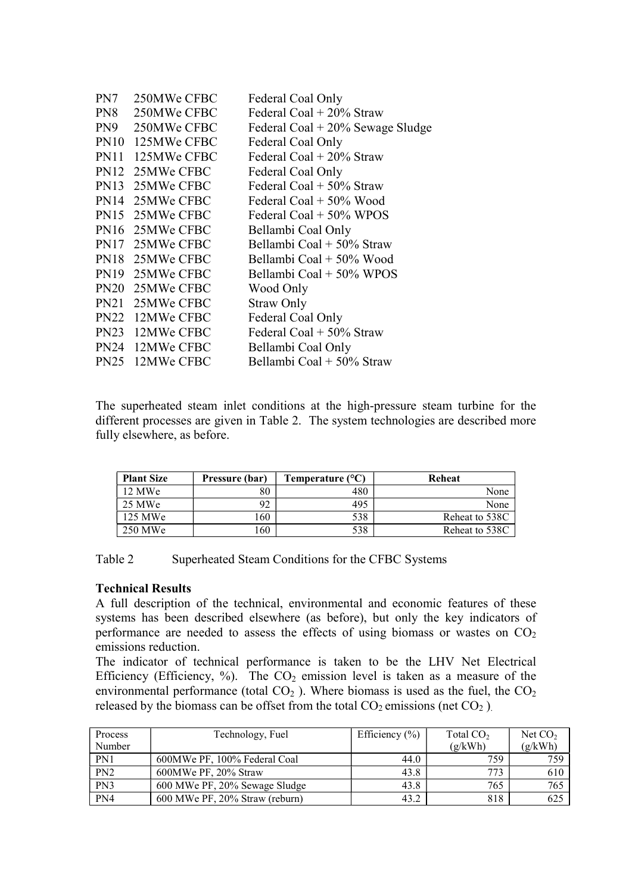| PN7 | 250MWe CFBC      | Federal Coal Only                  |
|-----|------------------|------------------------------------|
| PN8 | 250MWe CFBC      | Federal Coal $+$ 20% Straw         |
|     | PN9 250MWe CFBC  | Federal Coal $+20\%$ Sewage Sludge |
|     | PN10 125MWe CFBC | Federal Coal Only                  |
|     | PN11 125MWe CFBC | Federal Coal $+20\%$ Straw         |
|     | PN12 25MWe CFBC  | Federal Coal Only                  |
|     | PN13 25MWe CFBC  | Federal Coal $+50\%$ Straw         |
|     | PN14 25MWe CFBC  | Federal Coal + 50% Wood            |
|     | PN15 25MWe CFBC  | Federal Coal $+50\%$ WPOS          |
|     | PN16 25MWe CFBC  | Bellambi Coal Only                 |
|     | PN17 25MWe CFBC  | Bellambi Coal + 50% Straw          |
|     | PN18 25MWe CFBC  | Bellambi Coal + 50% Wood           |
|     | PN19 25MWe CFBC  | Bellambi Coal + 50% WPOS           |
|     | PN20 25MWe CFBC  | Wood Only                          |
|     | PN21 25MWe CFBC  | <b>Straw Only</b>                  |
|     | PN22 12MWe CFBC  | Federal Coal Only                  |
|     | PN23 12MWe CFBC  | Federal Coal $+50\%$ Straw         |
|     | PN24 12MWe CFBC  | Bellambi Coal Only                 |
|     | PN25 12MWe CFBC  | Bellambi Coal + 50% Straw          |
|     |                  |                                    |

The superheated steam inlet conditions at the high-pressure steam turbine for the different processes are given in Table 2. The system technologies are described more fully elsewhere, as before.

| <b>Plant Size</b> | Pressure (bar) | Temperature (°C) | Reheat         |
|-------------------|----------------|------------------|----------------|
| 12 MWe            | 80             | 480              | None           |
| 25 MWe            | 92             | 495              | None           |
| 125 MWe           | .60            | 538              | Reheat to 538C |
| 250 MWe           | .60            | 538              | Reheat to 538C |

Table 2 Superheated Steam Conditions for the CFBC Systems

### Technical Results

A full description of the technical, environmental and economic features of these systems has been described elsewhere (as before), but only the key indicators of performance are needed to assess the effects of using biomass or wastes on  $CO<sub>2</sub>$ emissions reduction.

The indicator of technical performance is taken to be the LHV Net Electrical Efficiency (Efficiency, %). The  $CO<sub>2</sub>$  emission level is taken as a measure of the environmental performance (total  $CO<sub>2</sub>$ ). Where biomass is used as the fuel, the  $CO<sub>2</sub>$ released by the biomass can be offset from the total  $CO_2$  emissions (net  $CO_2$ ).

| Process | Technology, Fuel               | Efficiency $(\% )$ | Total $CO2$ | Net $CO2$ |
|---------|--------------------------------|--------------------|-------------|-----------|
| Number  |                                |                    | (g/kWh)     | (g/kWh)   |
| PN1     | 600MWe PF, 100% Federal Coal   | 44.0               | 759         | 759       |
| PN2     | 600MWe PF, 20% Straw           | 43.8               | 773         | 610       |
| PN3     | 600 MWe PF, 20% Sewage Sludge  | 43.8               | 765         | 765       |
| PN4     | 600 MWe PF, 20% Straw (reburn) | 43.2               | 818         | 625       |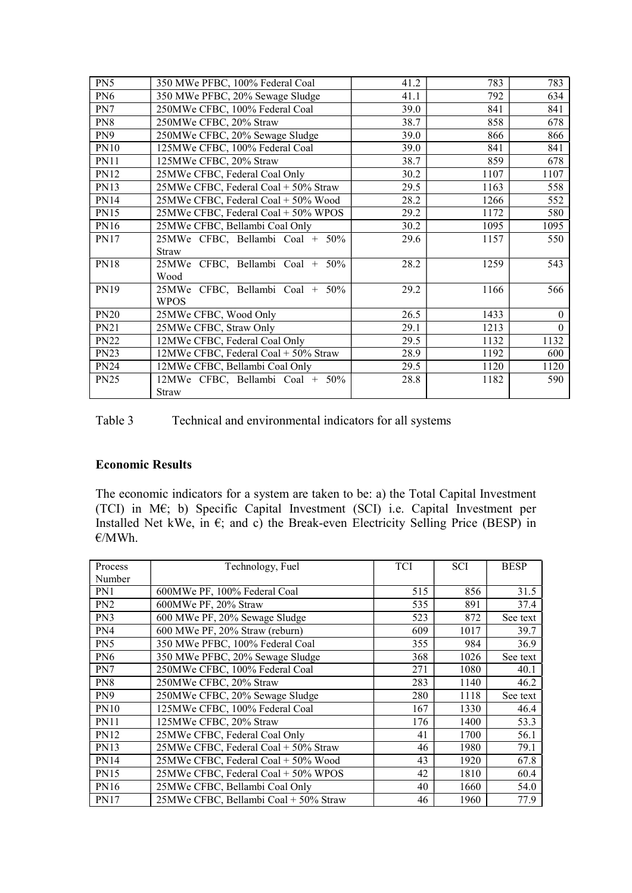| PN5             | 350 MWe PFBC, 100% Federal Coal      | 41.2 | 783  | 783      |
|-----------------|--------------------------------------|------|------|----------|
| PN <sub>6</sub> | 350 MWe PFBC, 20% Sewage Sludge      | 41.1 | 792  | 634      |
| PN7             | 250MWe CFBC, 100% Federal Coal       | 39.0 | 841  | 841      |
| PN8             | 250MWe CFBC, 20% Straw               | 38.7 | 858  | 678      |
| PN <sub>9</sub> | 250MWe CFBC, 20% Sewage Sludge       | 39.0 | 866  | 866      |
| <b>PN10</b>     | 125MWe CFBC, 100% Federal Coal       | 39.0 | 841  | 841      |
| <b>PN11</b>     | 125MWe CFBC, 20% Straw               | 38.7 | 859  | 678      |
| <b>PN12</b>     | 25MWe CFBC, Federal Coal Only        | 30.2 | 1107 | 1107     |
| <b>PN13</b>     | 25MWe CFBC, Federal Coal + 50% Straw | 29.5 | 1163 | 558      |
| <b>PN14</b>     | 25MWe CFBC, Federal Coal + 50% Wood  | 28.2 | 1266 | 552      |
| <b>PN15</b>     | 25MWe CFBC, Federal Coal + 50% WPOS  | 29.2 | 1172 | 580      |
| PN16            | 25MWe CFBC, Bellambi Coal Only       | 30.2 | 1095 | 1095     |
| <b>PN17</b>     | 25MWe CFBC, Bellambi Coal + 50%      | 29.6 | 1157 | 550      |
|                 | <b>Straw</b>                         |      |      |          |
| <b>PN18</b>     | 25MWe CFBC, Bellambi Coal + 50%      | 28.2 | 1259 | 543      |
|                 | Wood                                 |      |      |          |
| PN19            | 25MWe CFBC, Bellambi Coal + 50%      | 29.2 | 1166 | 566      |
|                 | <b>WPOS</b>                          |      |      |          |
| <b>PN20</b>     | 25MWe CFBC, Wood Only                | 26.5 | 1433 | $\Omega$ |
| <b>PN21</b>     | 25MWe CFBC, Straw Only               | 29.1 | 1213 | $\theta$ |
| <b>PN22</b>     | 12MWe CFBC, Federal Coal Only        | 29.5 | 1132 | 1132     |
| <b>PN23</b>     | 12MWe CFBC, Federal Coal + 50% Straw | 28.9 | 1192 | 600      |
| <b>PN24</b>     | 12MWe CFBC, Bellambi Coal Only       | 29.5 | 1120 | 1120     |
| <b>PN25</b>     | 12MWe CFBC, Bellambi Coal + 50%      | 28.8 | 1182 | 590      |
|                 | <b>Straw</b>                         |      |      |          |

Table 3 Technical and environmental indicators for all systems

# Economic Results

The economic indicators for a system are taken to be: a) the Total Capital Investment (TCI) in M€; b) Specific Capital Investment (SCI) i.e. Capital Investment per Installed Net kWe, in  $\epsilon$ ; and c) the Break-even Electricity Selling Price (BESP) in €/MWh.

| Process         | Technology, Fuel                      | <b>TCI</b> | <b>SCI</b> | <b>BESP</b> |
|-----------------|---------------------------------------|------------|------------|-------------|
| Number          |                                       |            |            |             |
| PN1             | 600MWe PF, 100% Federal Coal          | 515        | 856        | 31.5        |
| PN <sub>2</sub> | 600MWe PF, 20% Straw                  | 535        | 891        | 37.4        |
| PN <sub>3</sub> | 600 MWe PF, 20% Sewage Sludge         | 523        | 872        | See text    |
| PN4             | 600 MWe PF, 20% Straw (reburn)        | 609        | 1017       | 39.7        |
| PN5             | 350 MWe PFBC, 100% Federal Coal       | 355        | 984        | 36.9        |
| PN <sub>6</sub> | 350 MWe PFBC, 20% Sewage Sludge       | 368        | 1026       | See text    |
| PN7             | 250MWe CFBC, 100% Federal Coal        | 271        | 1080       | 40.1        |
| PN <sub>8</sub> | 250MWe CFBC, 20% Straw                | 283        | 1140       | 46.2        |
| PN <sub>9</sub> | 250MWe CFBC, 20% Sewage Sludge        | 280        | 1118       | See text    |
| <b>PN10</b>     | 125MWe CFBC, 100% Federal Coal        | 167        | 1330       | 46.4        |
| <b>PN11</b>     | 125MWe CFBC, 20% Straw                | 176        | 1400       | 53.3        |
| <b>PN12</b>     | 25MWe CFBC, Federal Coal Only         | 41         | 1700       | 56.1        |
| <b>PN13</b>     | 25MWe CFBC, Federal Coal + 50% Straw  | 46         | 1980       | 79.1        |
| <b>PN14</b>     | 25MWe CFBC, Federal Coal + 50% Wood   | 43         | 1920       | 67.8        |
| <b>PN15</b>     | 25MWe CFBC, Federal Coal + 50% WPOS   | 42         | 1810       | 60.4        |
| <b>PN16</b>     | 25MWe CFBC, Bellambi Coal Only        | 40         | 1660       | 54.0        |
| <b>PN17</b>     | 25MWe CFBC, Bellambi Coal + 50% Straw | 46         | 1960       | 77.9        |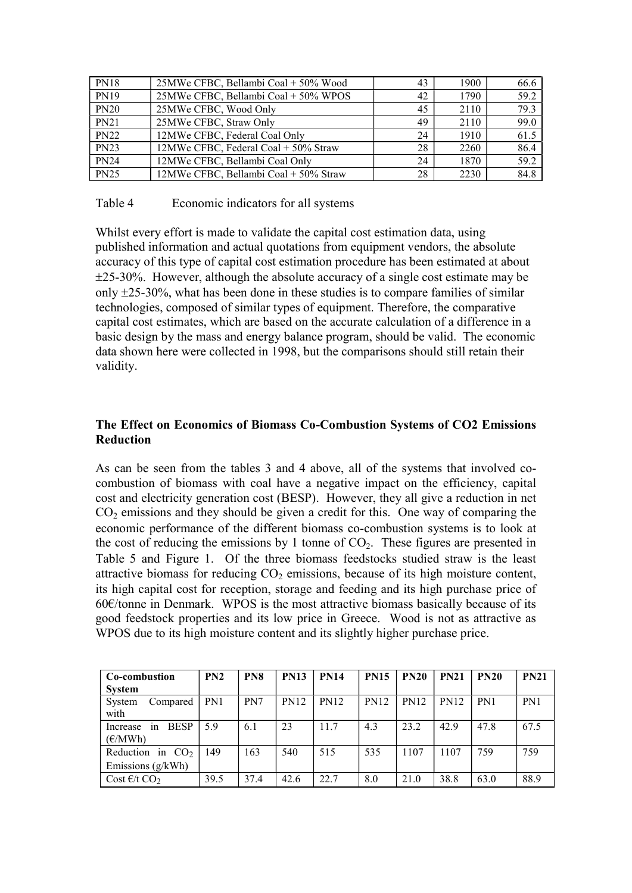| <b>PN18</b> | 25MWe CFBC, Bellambi Coal + 50% Wood  | 43 | 1900 | 66.6 |
|-------------|---------------------------------------|----|------|------|
| <b>PN19</b> | 25MWe CFBC, Bellambi Coal + 50% WPOS  | 42 | 1790 | 59.2 |
| <b>PN20</b> | 25MWe CFBC, Wood Only                 | 45 | 2110 | 79.3 |
| <b>PN21</b> | 25MWe CFBC, Straw Only                | 49 | 2110 | 99.0 |
| <b>PN22</b> | 12MWe CFBC, Federal Coal Only         | 24 | 1910 | 61.5 |
| <b>PN23</b> | 12MWe CFBC, Federal Coal + 50% Straw  | 28 | 2260 | 86.4 |
| <b>PN24</b> | 12MWe CFBC, Bellambi Coal Only        | 24 | 1870 | 59.2 |
| <b>PN25</b> | 12MWe CFBC, Bellambi Coal + 50% Straw | 28 | 2230 | 84.8 |

## Table 4 Economic indicators for all systems

Whilst every effort is made to validate the capital cost estimation data, using published information and actual quotations from equipment vendors, the absolute accuracy of this type of capital cost estimation procedure has been estimated at about 25-30%. However, although the absolute accuracy of a single cost estimate may be only  $\pm$ 25-30%, what has been done in these studies is to compare families of similar technologies, composed of similar types of equipment. Therefore, the comparative capital cost estimates, which are based on the accurate calculation of a difference in a basic design by the mass and energy balance program, should be valid. The economic data shown here were collected in 1998, but the comparisons should still retain their validity.

# The Effect on Economics of Biomass Co-Combustion Systems of CO2 Emissions **Reduction**

As can be seen from the tables 3 and 4 above, all of the systems that involved cocombustion of biomass with coal have a negative impact on the efficiency, capital cost and electricity generation cost (BESP). However, they all give a reduction in net  $CO<sub>2</sub>$  emissions and they should be given a credit for this. One way of comparing the economic performance of the different biomass co-combustion systems is to look at the cost of reducing the emissions by 1 tonne of  $CO<sub>2</sub>$ . These figures are presented in Table 5 and Figure 1. Of the three biomass feedstocks studied straw is the least attractive biomass for reducing  $CO<sub>2</sub>$  emissions, because of its high moisture content, its high capital cost for reception, storage and feeding and its high purchase price of 60€/tonne in Denmark. WPOS is the most attractive biomass basically because of its good feedstock properties and its low price in Greece. Wood is not as attractive as WPOS due to its high moisture content and its slightly higher purchase price.

| Co-combustion<br><b>System</b>           | PN2  | PN <sub>8</sub> | <b>PN13</b> | <b>PN14</b> | <b>PN15</b> | <b>PN20</b> | <b>PN21</b> | <b>PN20</b>     | <b>PN21</b> |
|------------------------------------------|------|-----------------|-------------|-------------|-------------|-------------|-------------|-----------------|-------------|
| System<br>Compared<br>with               | PN1  | PN7             | <b>PN12</b> | <b>PN12</b> | <b>PN12</b> | <b>PN12</b> | <b>PN12</b> | PN <sub>1</sub> | PN1         |
| <b>BESP</b><br>in<br>Increase<br>(E/MWh) | 5.9  | 6.1             | 23          | 11.7        | 4.3         | 23.2        | 42.9        | 47.8            | 67.5        |
| Reduction in $CO2$<br>Emissions (g/kWh)  | 149  | 163             | 540         | 515         | 535         | 1107        | 1107        | 759             | 759         |
| Cost $\epsilon$ /t CO <sub>2</sub>       | 39.5 | 37.4            | 42.6        | 22.7        | 8.0         | 21.0        | 38.8        | 63.0            | 88.9        |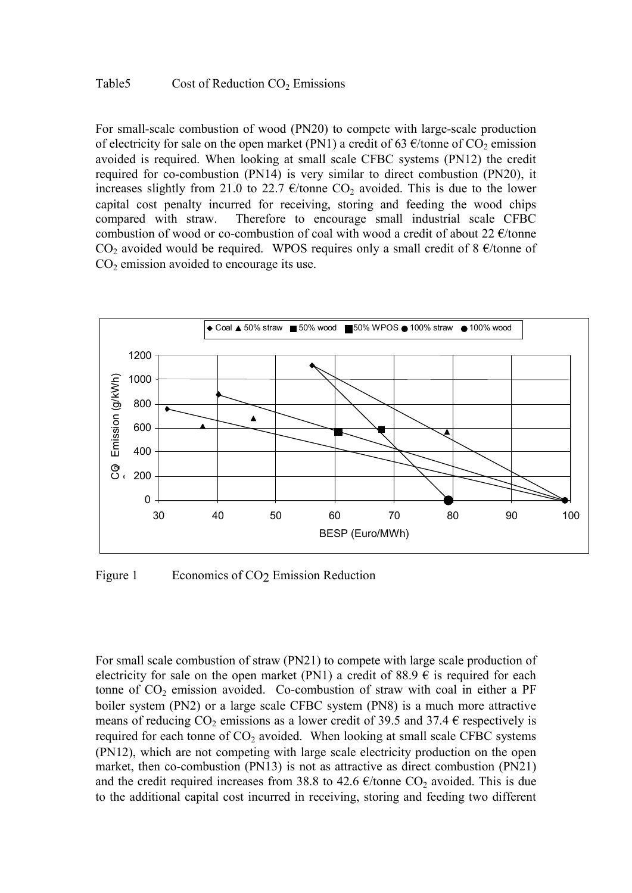### Table5 Cost of Reduction  $CO_2$  Emissions

For small-scale combustion of wood (PN20) to compete with large-scale production of electricity for sale on the open market (PN1) a credit of 63  $\epsilon$ /tonne of CO<sub>2</sub> emission avoided is required. When looking at small scale CFBC systems (PN12) the credit required for co-combustion (PN14) is very similar to direct combustion (PN20), it increases slightly from 21.0 to 22.7  $\epsilon$ /tonne CO<sub>2</sub> avoided. This is due to the lower capital cost penalty incurred for receiving, storing and feeding the wood chips compared with straw. Therefore to encourage small industrial scale CFBC combustion of wood or co-combustion of coal with wood a credit of about 22  $\epsilon$ /tonne CO<sub>2</sub> avoided would be required. WPOS requires only a small credit of 8  $\epsilon$ /tonne of  $CO<sub>2</sub>$  emission avoided to encourage its use.



Figure 1 Economics of CO<sub>2</sub> Emission Reduction

For small scale combustion of straw (PN21) to compete with large scale production of electricity for sale on the open market (PN1) a credit of 88.9  $\epsilon$  is required for each tonne of  $CO<sub>2</sub>$  emission avoided. Co-combustion of straw with coal in either a PF boiler system (PN2) or a large scale CFBC system (PN8) is a much more attractive means of reducing  $CO_2$  emissions as a lower credit of 39.5 and 37.4  $\epsilon$  respectively is required for each tonne of  $CO_2$  avoided. When looking at small scale CFBC systems (PN12), which are not competing with large scale electricity production on the open market, then co-combustion (PN13) is not as attractive as direct combustion (PN21) and the credit required increases from 38.8 to 42.6  $\epsilon$ /tonne CO<sub>2</sub> avoided. This is due to the additional capital cost incurred in receiving, storing and feeding two different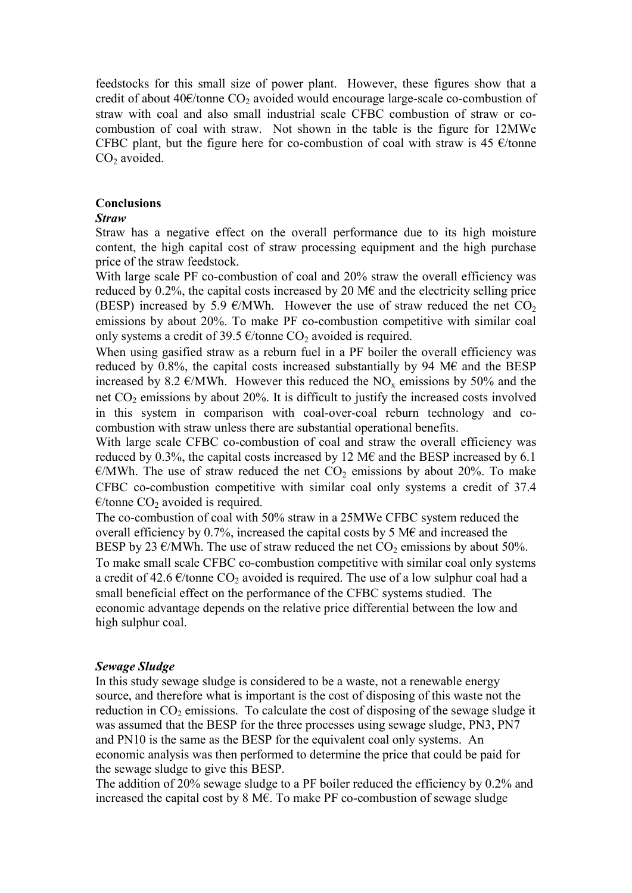feedstocks for this small size of power plant. However, these figures show that a credit of about 40 $\epsilon$ /tonne CO<sub>2</sub> avoided would encourage large-scale co-combustion of straw with coal and also small industrial scale CFBC combustion of straw or cocombustion of coal with straw. Not shown in the table is the figure for 12MWe CFBC plant, but the figure here for co-combustion of coal with straw is 45  $\epsilon$ /tonne  $CO<sub>2</sub>$  avoided.

### Conclusions

### Straw

Straw has a negative effect on the overall performance due to its high moisture content, the high capital cost of straw processing equipment and the high purchase price of the straw feedstock.

With large scale PF co-combustion of coal and 20% straw the overall efficiency was reduced by 0.2%, the capital costs increased by 20 M $\epsilon$  and the electricity selling price (BESP) increased by 5.9  $\epsilon$ /MWh. However the use of straw reduced the net CO<sub>2</sub> emissions by about 20%. To make PF co-combustion competitive with similar coal only systems a credit of 39.5  $\epsilon$ /tonne CO<sub>2</sub> avoided is required.

When using gasified straw as a reburn fuel in a PF boiler the overall efficiency was reduced by 0.8%, the capital costs increased substantially by 94 M $\epsilon$  and the BESP increased by 8.2  $\epsilon$ /MWh. However this reduced the NO<sub>x</sub> emissions by 50% and the net  $CO<sub>2</sub>$  emissions by about 20%. It is difficult to justify the increased costs involved in this system in comparison with coal-over-coal reburn technology and cocombustion with straw unless there are substantial operational benefits.

With large scale CFBC co-combustion of coal and straw the overall efficiency was reduced by 0.3%, the capital costs increased by 12 M $\epsilon$  and the BESP increased by 6.1  $\epsilon$ /MWh. The use of straw reduced the net CO<sub>2</sub> emissions by about 20%. To make CFBC co-combustion competitive with similar coal only systems a credit of 37.4  $\epsilon$ /tonne CO<sub>2</sub> avoided is required.

The co-combustion of coal with 50% straw in a 25MWe CFBC system reduced the overall efficiency by 0.7%, increased the capital costs by 5 M $\epsilon$  and increased the BESP by 23  $\epsilon$ /MWh. The use of straw reduced the net CO<sub>2</sub> emissions by about 50%. To make small scale CFBC co-combustion competitive with similar coal only systems a credit of 42.6  $\epsilon$ /tonne CO<sub>2</sub> avoided is required. The use of a low sulphur coal had a small beneficial effect on the performance of the CFBC systems studied. The economic advantage depends on the relative price differential between the low and high sulphur coal.

#### Sewage Sludge

In this study sewage sludge is considered to be a waste, not a renewable energy source, and therefore what is important is the cost of disposing of this waste not the reduction in  $CO<sub>2</sub>$  emissions. To calculate the cost of disposing of the sewage sludge it was assumed that the BESP for the three processes using sewage sludge, PN3, PN7 and PN10 is the same as the BESP for the equivalent coal only systems. An economic analysis was then performed to determine the price that could be paid for the sewage sludge to give this BESP.

The addition of 20% sewage sludge to a PF boiler reduced the efficiency by 0.2% and increased the capital cost by 8 M€. To make PF co-combustion of sewage sludge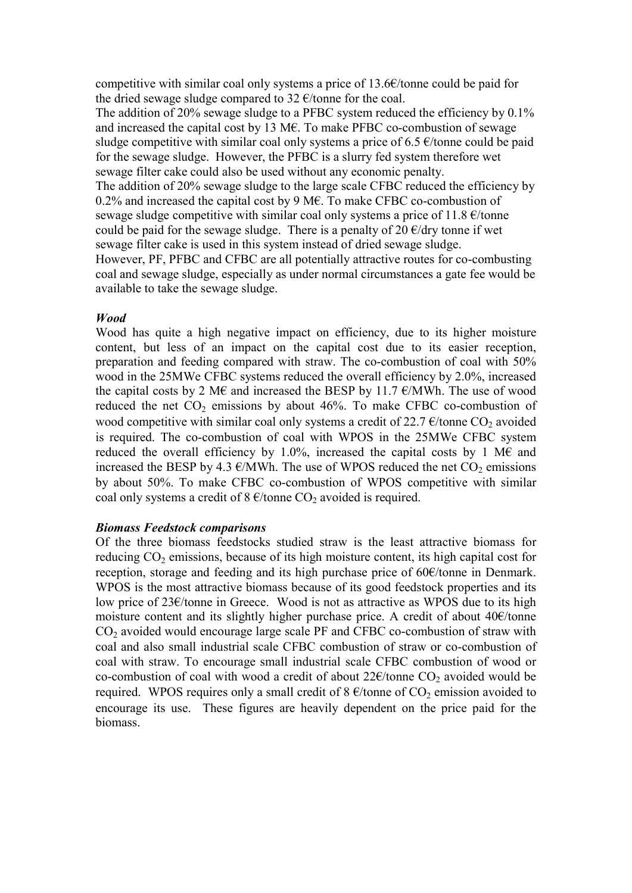competitive with similar coal only systems a price of  $13.6 \times$ /tonne could be paid for the dried sewage sludge compared to 32  $\epsilon$ /tonne for the coal.

The addition of 20% sewage sludge to a PFBC system reduced the efficiency by 0.1% and increased the capital cost by 13 M€. To make PFBC co-combustion of sewage sludge competitive with similar coal only systems a price of 6.5  $\epsilon$ /tonne could be paid for the sewage sludge. However, the PFBC is a slurry fed system therefore wet sewage filter cake could also be used without any economic penalty.

The addition of 20% sewage sludge to the large scale CFBC reduced the efficiency by 0.2% and increased the capital cost by 9 M€. To make CFBC co-combustion of sewage sludge competitive with similar coal only systems a price of 11.8  $\epsilon$ /tonne could be paid for the sewage sludge. There is a penalty of 20  $\epsilon$ /dry tonne if wet sewage filter cake is used in this system instead of dried sewage sludge.

However, PF, PFBC and CFBC are all potentially attractive routes for co-combusting coal and sewage sludge, especially as under normal circumstances a gate fee would be available to take the sewage sludge.

### **Wood**

Wood has quite a high negative impact on efficiency, due to its higher moisture content, but less of an impact on the capital cost due to its easier reception, preparation and feeding compared with straw. The co-combustion of coal with 50% wood in the 25MWe CFBC systems reduced the overall efficiency by 2.0%, increased the capital costs by 2 M€ and increased the BESP by 11.7  $\epsilon$ /MWh. The use of wood reduced the net  $CO_2$  emissions by about 46%. To make CFBC co-combustion of wood competitive with similar coal only systems a credit of 22.7  $\epsilon$ /tonne CO<sub>2</sub> avoided is required. The co-combustion of coal with WPOS in the 25MWe CFBC system reduced the overall efficiency by 1.0%, increased the capital costs by 1 M€ and increased the BESP by 4.3  $\epsilon$ /MWh. The use of WPOS reduced the net CO<sub>2</sub> emissions by about 50%. To make CFBC co-combustion of WPOS competitive with similar coal only systems a credit of  $8 \frac{\epsilon}{\t{6}}$  tonne CO<sub>2</sub> avoided is required.

#### Biomass Feedstock comparisons

Of the three biomass feedstocks studied straw is the least attractive biomass for reducing  $CO_2$  emissions, because of its high moisture content, its high capital cost for reception, storage and feeding and its high purchase price of 60€/tonne in Denmark. WPOS is the most attractive biomass because of its good feedstock properties and its low price of 23€/tonne in Greece. Wood is not as attractive as WPOS due to its high moisture content and its slightly higher purchase price. A credit of about 40€/tonne  $CO<sub>2</sub>$  avoided would encourage large scale PF and CFBC co-combustion of straw with coal and also small industrial scale CFBC combustion of straw or co-combustion of coal with straw. To encourage small industrial scale CFBC combustion of wood or co-combustion of coal with wood a credit of about  $22 \epsilon$ /tonne CO<sub>2</sub> avoided would be required. WPOS requires only a small credit of  $8 \text{ E/tonne of } CO_2$  emission avoided to encourage its use. These figures are heavily dependent on the price paid for the biomass.